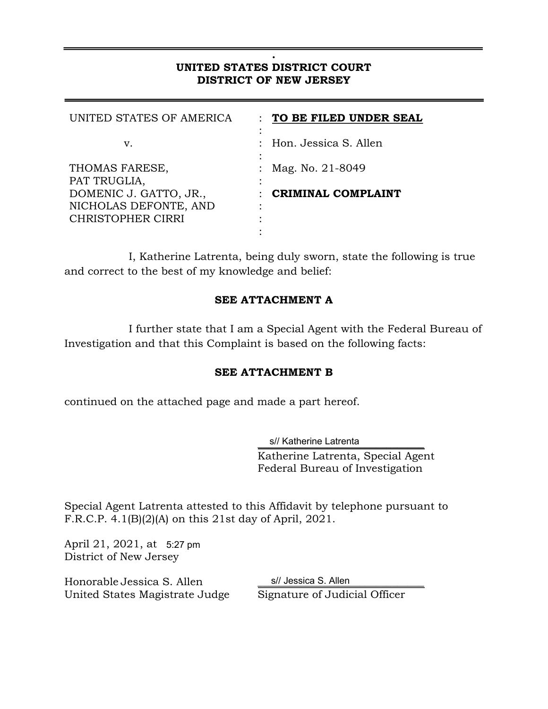#### **. UNITED STATES DISTRICT COURT DISTRICT OF NEW JERSEY**

| UNITED STATES OF AMERICA                        | TO BE FILED UNDER SEAL    |
|-------------------------------------------------|---------------------------|
| v.                                              | : Hon. Jessica S. Allen   |
| THOMAS FARESE,<br>PAT TRUGLIA,                  | : Mag. No. $21-8049$      |
| DOMENIC J. GATTO, JR.,<br>NICHOLAS DEFONTE, AND | <b>CRIMINAL COMPLAINT</b> |
| <b>CHRISTOPHER CIRRI</b>                        |                           |

 I, Katherine Latrenta, being duly sworn, state the following is true and correct to the best of my knowledge and belief:

### **SEE ATTACHMENT A**

 I further state that I am a Special Agent with the Federal Bureau of Investigation and that this Complaint is based on the following facts:

### **SEE ATTACHMENT B**

continued on the attached page and made a part hereof.

s// Katherine Latrenta Katherine Latrenta, Special Agent Federal Bureau of Investigation

Special Agent Latrenta attested to this Affidavit by telephone pursuant to F.R.C.P. 4.1(B)(2)(A) on this 21st day of April, 2021.

April 21, 2021, at 5:27 pm District of New Jersey

Honorable Jessica S. Allen United States Magistrate Judge Signature of Judicial Officer

s// Jessica S. Allen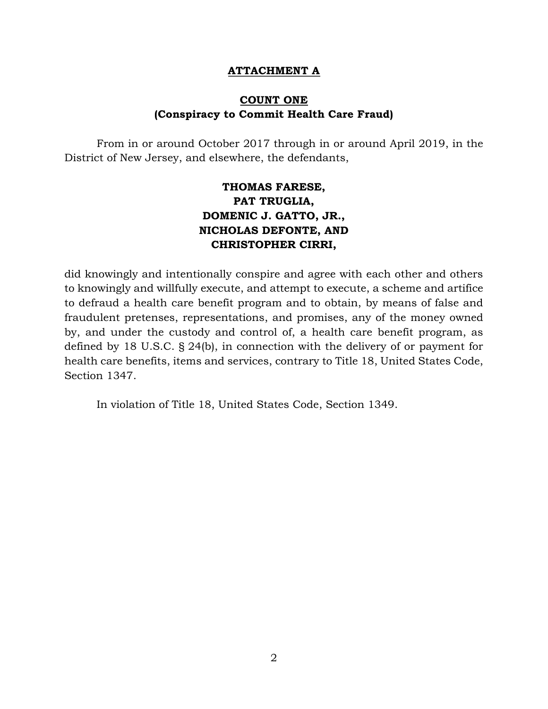#### **ATTACHMENT A**

## **COUNT ONE (Conspiracy to Commit Health Care Fraud)**

From in or around October 2017 through in or around April 2019, in the District of New Jersey, and elsewhere, the defendants,

# **THOMAS FARESE, PAT TRUGLIA, DOMENIC J. GATTO, JR., NICHOLAS DEFONTE, AND CHRISTOPHER CIRRI,**

did knowingly and intentionally conspire and agree with each other and others to knowingly and willfully execute, and attempt to execute, a scheme and artifice to defraud a health care benefit program and to obtain, by means of false and fraudulent pretenses, representations, and promises, any of the money owned by, and under the custody and control of, a health care benefit program, as defined by 18 U.S.C. § 24(b), in connection with the delivery of or payment for health care benefits, items and services, contrary to Title 18, United States Code, Section 1347.

In violation of Title 18, United States Code, Section 1349.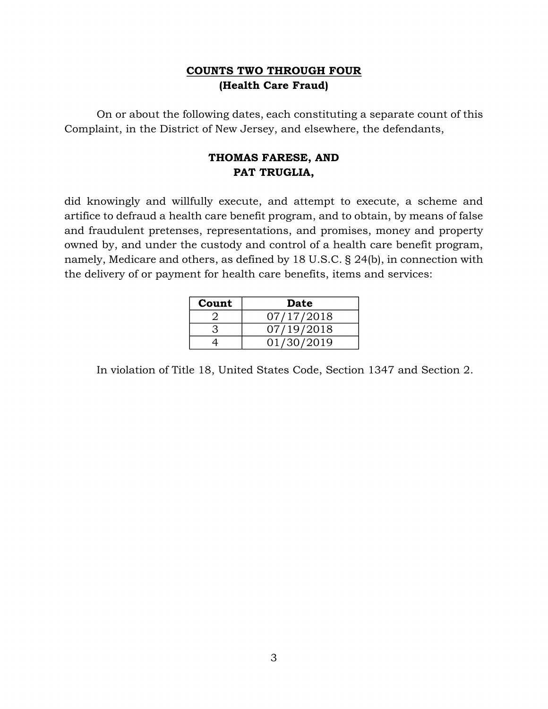## **COUNTS TWO THROUGH FOUR (Health Care Fraud)**

On or about the following dates, each constituting a separate count of this Complaint, in the District of New Jersey, and elsewhere, the defendants,

## **THOMAS FARESE, AND PAT TRUGLIA,**

did knowingly and willfully execute, and attempt to execute, a scheme and artifice to defraud a health care benefit program, and to obtain, by means of false and fraudulent pretenses, representations, and promises, money and property owned by, and under the custody and control of a health care benefit program, namely, Medicare and others, as defined by 18 U.S.C. § 24(b), in connection with the delivery of or payment for health care benefits, items and services:

| Count | Date       |
|-------|------------|
|       | 07/17/2018 |
|       | 07/19/2018 |
|       | 01/30/2019 |

In violation of Title 18, United States Code, Section 1347 and Section 2.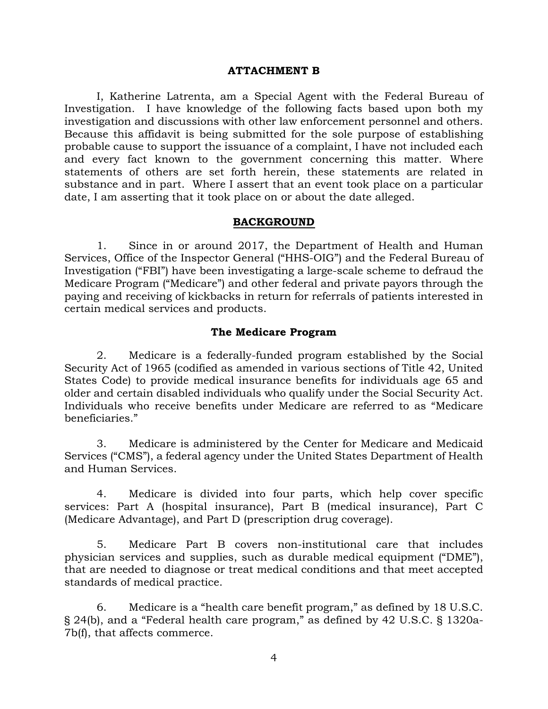#### **ATTACHMENT B**

I, Katherine Latrenta, am a Special Agent with the Federal Bureau of Investigation. I have knowledge of the following facts based upon both my investigation and discussions with other law enforcement personnel and others. Because this affidavit is being submitted for the sole purpose of establishing probable cause to support the issuance of a complaint, I have not included each and every fact known to the government concerning this matter. Where statements of others are set forth herein, these statements are related in substance and in part. Where I assert that an event took place on a particular date, I am asserting that it took place on or about the date alleged.

#### **BACKGROUND**

1. Since in or around 2017, the Department of Health and Human Services, Office of the Inspector General ("HHS-OIG") and the Federal Bureau of Investigation ("FBI") have been investigating a large-scale scheme to defraud the Medicare Program ("Medicare") and other federal and private payors through the paying and receiving of kickbacks in return for referrals of patients interested in certain medical services and products.

#### **The Medicare Program**

2. Medicare is a federally-funded program established by the Social Security Act of 1965 (codified as amended in various sections of Title 42, United States Code) to provide medical insurance benefits for individuals age 65 and older and certain disabled individuals who qualify under the Social Security Act. Individuals who receive benefits under Medicare are referred to as "Medicare beneficiaries."

3. Medicare is administered by the Center for Medicare and Medicaid Services ("CMS"), a federal agency under the United States Department of Health and Human Services.

4. Medicare is divided into four parts, which help cover specific services: Part A (hospital insurance), Part B (medical insurance), Part C (Medicare Advantage), and Part D (prescription drug coverage).

5. Medicare Part B covers non-institutional care that includes physician services and supplies, such as durable medical equipment ("DME"), that are needed to diagnose or treat medical conditions and that meet accepted standards of medical practice.

6. Medicare is a "health care benefit program," as defined by 18 U.S.C. § 24(b), and a "Federal health care program," as defined by 42 U.S.C. § 1320a-7b(f), that affects commerce.

4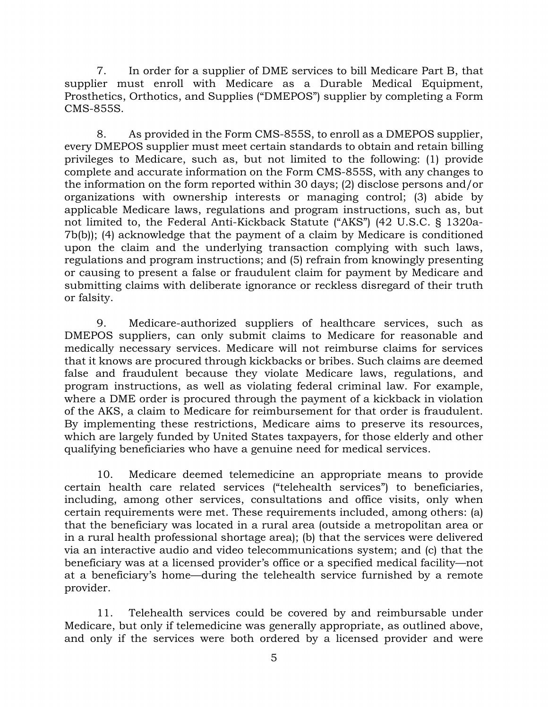7. In order for a supplier of DME services to bill Medicare Part B, that supplier must enroll with Medicare as a Durable Medical Equipment, Prosthetics, Orthotics, and Supplies ("DMEPOS") supplier by completing a Form CMS-855S.

8. As provided in the Form CMS-855S, to enroll as a DMEPOS supplier, every DMEPOS supplier must meet certain standards to obtain and retain billing privileges to Medicare, such as, but not limited to the following: (1) provide complete and accurate information on the Form CMS-855S, with any changes to the information on the form reported within 30 days; (2) disclose persons and/or organizations with ownership interests or managing control; (3) abide by applicable Medicare laws, regulations and program instructions, such as, but not limited to, the Federal Anti-Kickback Statute ("AKS") (42 U.S.C. § 1320a-7b(b)); (4) acknowledge that the payment of a claim by Medicare is conditioned upon the claim and the underlying transaction complying with such laws, regulations and program instructions; and (5) refrain from knowingly presenting or causing to present a false or fraudulent claim for payment by Medicare and submitting claims with deliberate ignorance or reckless disregard of their truth or falsity.

9. Medicare-authorized suppliers of healthcare services, such as DMEPOS suppliers, can only submit claims to Medicare for reasonable and medically necessary services. Medicare will not reimburse claims for services that it knows are procured through kickbacks or bribes. Such claims are deemed false and fraudulent because they violate Medicare laws, regulations, and program instructions, as well as violating federal criminal law. For example, where a DME order is procured through the payment of a kickback in violation of the AKS, a claim to Medicare for reimbursement for that order is fraudulent. By implementing these restrictions, Medicare aims to preserve its resources, which are largely funded by United States taxpayers, for those elderly and other qualifying beneficiaries who have a genuine need for medical services.

10. Medicare deemed telemedicine an appropriate means to provide certain health care related services ("telehealth services") to beneficiaries, including, among other services, consultations and office visits, only when certain requirements were met. These requirements included, among others: (a) that the beneficiary was located in a rural area (outside a metropolitan area or in a rural health professional shortage area); (b) that the services were delivered via an interactive audio and video telecommunications system; and (c) that the beneficiary was at a licensed provider's office or a specified medical facility—not at a beneficiary's home—during the telehealth service furnished by a remote provider.

11. Telehealth services could be covered by and reimbursable under Medicare, but only if telemedicine was generally appropriate, as outlined above, and only if the services were both ordered by a licensed provider and were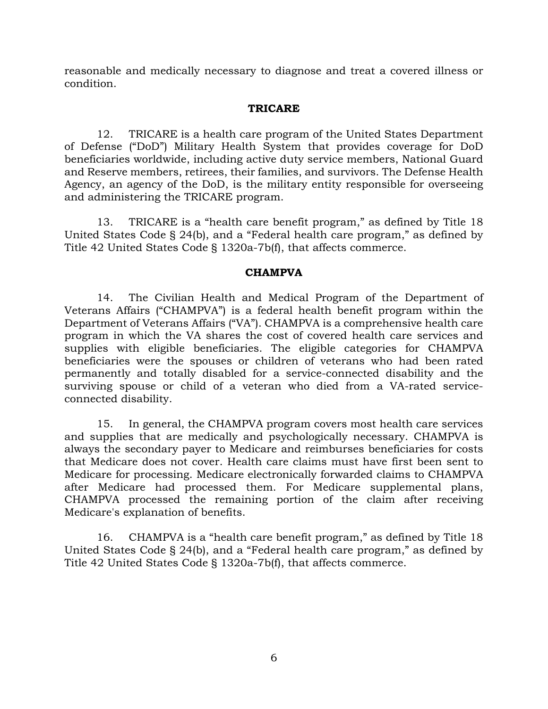reasonable and medically necessary to diagnose and treat a covered illness or condition.

#### **TRICARE**

12. TRICARE is a health care program of the United States Department of Defense ("DoD") Military Health System that provides coverage for DoD beneficiaries worldwide, including active duty service members, National Guard and Reserve members, retirees, their families, and survivors. The Defense Health Agency, an agency of the DoD, is the military entity responsible for overseeing and administering the TRICARE program.

13. TRICARE is a "health care benefit program," as defined by Title 18 United States Code § 24(b), and a "Federal health care program," as defined by Title 42 United States Code § 1320a-7b(f), that affects commerce.

#### **CHAMPVA**

14. The Civilian Health and Medical Program of the Department of Veterans Affairs ("CHAMPVA") is a federal health benefit program within the Department of Veterans Affairs ("VA"). CHAMPVA is a comprehensive health care program in which the VA shares the cost of covered health care services and supplies with eligible beneficiaries. The eligible categories for CHAMPVA beneficiaries were the spouses or children of veterans who had been rated permanently and totally disabled for a service-connected disability and the surviving spouse or child of a veteran who died from a VA-rated serviceconnected disability.

15. In general, the CHAMPVA program covers most health care services and supplies that are medically and psychologically necessary. CHAMPVA is always the secondary payer to Medicare and reimburses beneficiaries for costs that Medicare does not cover. Health care claims must have first been sent to Medicare for processing. Medicare electronically forwarded claims to CHAMPVA after Medicare had processed them. For Medicare supplemental plans, CHAMPVA processed the remaining portion of the claim after receiving Medicare's explanation of benefits.

16. CHAMPVA is a "health care benefit program," as defined by Title 18 United States Code § 24(b), and a "Federal health care program," as defined by Title 42 United States Code § 1320a-7b(f), that affects commerce.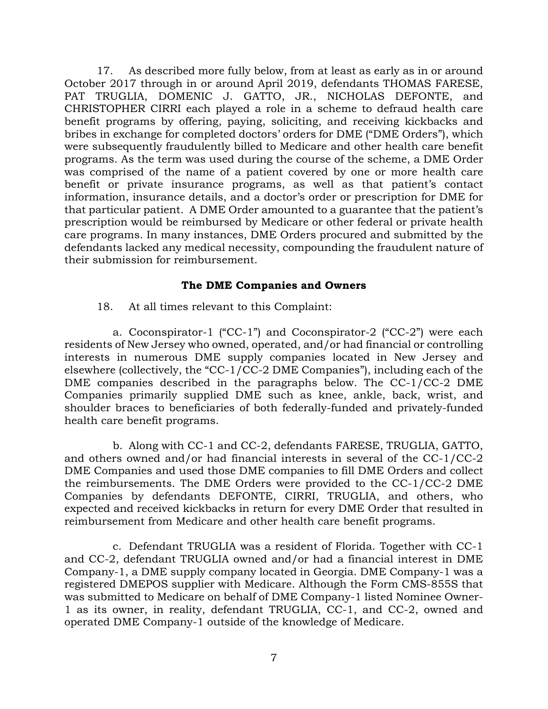17. As described more fully below, from at least as early as in or around October 2017 through in or around April 2019, defendants THOMAS FARESE, PAT TRUGLIA, DOMENIC J. GATTO, JR., NICHOLAS DEFONTE, and CHRISTOPHER CIRRI each played a role in a scheme to defraud health care benefit programs by offering, paying, soliciting, and receiving kickbacks and bribes in exchange for completed doctors' orders for DME ("DME Orders"), which were subsequently fraudulently billed to Medicare and other health care benefit programs. As the term was used during the course of the scheme, a DME Order was comprised of the name of a patient covered by one or more health care benefit or private insurance programs, as well as that patient's contact information, insurance details, and a doctor's order or prescription for DME for that particular patient. A DME Order amounted to a guarantee that the patient's prescription would be reimbursed by Medicare or other federal or private health care programs. In many instances, DME Orders procured and submitted by the defendants lacked any medical necessity, compounding the fraudulent nature of their submission for reimbursement.

#### **The DME Companies and Owners**

18. At all times relevant to this Complaint:

a. Coconspirator-1 ("CC-1") and Coconspirator-2 ("CC-2") were each residents of New Jersey who owned, operated, and/or had financial or controlling interests in numerous DME supply companies located in New Jersey and elsewhere (collectively, the "CC-1/CC-2 DME Companies"), including each of the DME companies described in the paragraphs below. The  $CC-1/CC-2$  DME Companies primarily supplied DME such as knee, ankle, back, wrist, and shoulder braces to beneficiaries of both federally-funded and privately-funded health care benefit programs.

b. Along with CC-1 and CC-2, defendants FARESE, TRUGLIA, GATTO, and others owned and/or had financial interests in several of the CC-1/CC-2 DME Companies and used those DME companies to fill DME Orders and collect the reimbursements. The DME Orders were provided to the CC-1/CC-2 DME Companies by defendants DEFONTE, CIRRI, TRUGLIA, and others, who expected and received kickbacks in return for every DME Order that resulted in reimbursement from Medicare and other health care benefit programs.

c. Defendant TRUGLIA was a resident of Florida. Together with CC-1 and CC-2, defendant TRUGLIA owned and/or had a financial interest in DME Company-1, a DME supply company located in Georgia. DME Company-1 was a registered DMEPOS supplier with Medicare. Although the Form CMS-855S that was submitted to Medicare on behalf of DME Company-1 listed Nominee Owner-1 as its owner, in reality, defendant TRUGLIA, CC-1, and CC-2, owned and operated DME Company-1 outside of the knowledge of Medicare.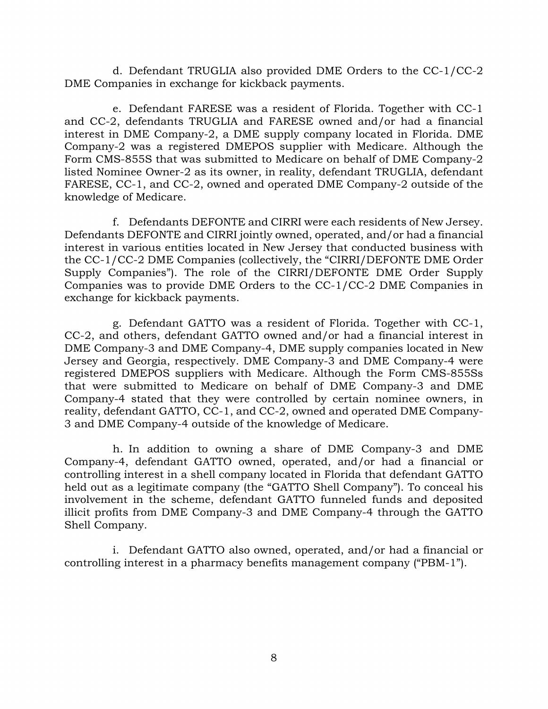d. Defendant TRUGLIA also provided DME Orders to the CC-1/CC-2 DME Companies in exchange for kickback payments.

e. Defendant FARESE was a resident of Florida. Together with CC-1 and CC-2, defendants TRUGLIA and FARESE owned and/or had a financial interest in DME Company-2, a DME supply company located in Florida. DME Company-2 was a registered DMEPOS supplier with Medicare. Although the Form CMS-855S that was submitted to Medicare on behalf of DME Company-2 listed Nominee Owner-2 as its owner, in reality, defendant TRUGLIA, defendant FARESE, CC-1, and CC-2, owned and operated DME Company-2 outside of the knowledge of Medicare.

f. Defendants DEFONTE and CIRRI were each residents of New Jersey. Defendants DEFONTE and CIRRI jointly owned, operated, and/or had a financial interest in various entities located in New Jersey that conducted business with the CC-1/CC-2 DME Companies (collectively, the "CIRRI/DEFONTE DME Order Supply Companies"). The role of the CIRRI/DEFONTE DME Order Supply Companies was to provide DME Orders to the CC-1/CC-2 DME Companies in exchange for kickback payments.

g. Defendant GATTO was a resident of Florida. Together with CC-1, CC-2, and others, defendant GATTO owned and/or had a financial interest in DME Company-3 and DME Company-4, DME supply companies located in New Jersey and Georgia, respectively. DME Company-3 and DME Company-4 were registered DMEPOS suppliers with Medicare. Although the Form CMS-855Ss that were submitted to Medicare on behalf of DME Company-3 and DME Company-4 stated that they were controlled by certain nominee owners, in reality, defendant GATTO, CC-1, and CC-2, owned and operated DME Company-3 and DME Company-4 outside of the knowledge of Medicare.

h. In addition to owning a share of DME Company-3 and DME Company-4, defendant GATTO owned, operated, and/or had a financial or controlling interest in a shell company located in Florida that defendant GATTO held out as a legitimate company (the "GATTO Shell Company"). To conceal his involvement in the scheme, defendant GATTO funneled funds and deposited illicit profits from DME Company-3 and DME Company-4 through the GATTO Shell Company.

i. Defendant GATTO also owned, operated, and/or had a financial or controlling interest in a pharmacy benefits management company ("PBM-1").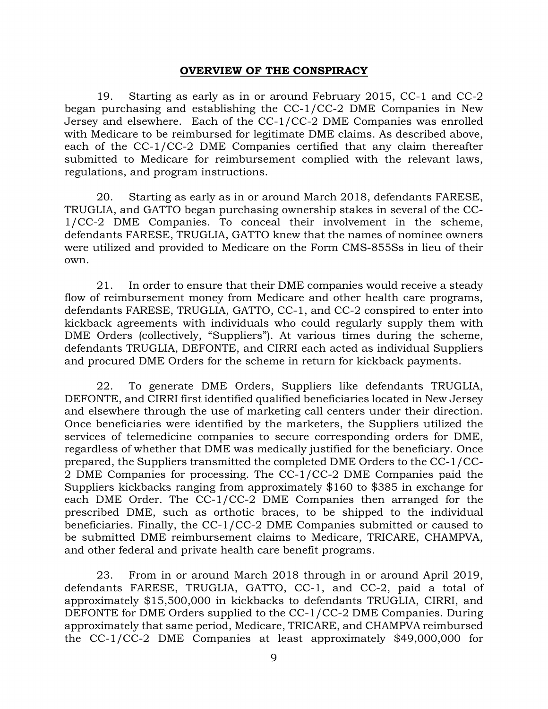#### **OVERVIEW OF THE CONSPIRACY**

19. Starting as early as in or around February 2015, CC-1 and CC-2 began purchasing and establishing the CC-1/CC-2 DME Companies in New Jersey and elsewhere. Each of the CC-1/CC-2 DME Companies was enrolled with Medicare to be reimbursed for legitimate DME claims. As described above, each of the CC-1/CC-2 DME Companies certified that any claim thereafter submitted to Medicare for reimbursement complied with the relevant laws, regulations, and program instructions.

20. Starting as early as in or around March 2018, defendants FARESE, TRUGLIA, and GATTO began purchasing ownership stakes in several of the CC-1/CC-2 DME Companies. To conceal their involvement in the scheme, defendants FARESE, TRUGLIA, GATTO knew that the names of nominee owners were utilized and provided to Medicare on the Form CMS-855Ss in lieu of their own.

21. In order to ensure that their DME companies would receive a steady flow of reimbursement money from Medicare and other health care programs, defendants FARESE, TRUGLIA, GATTO, CC-1, and CC-2 conspired to enter into kickback agreements with individuals who could regularly supply them with DME Orders (collectively, "Suppliers"). At various times during the scheme, defendants TRUGLIA, DEFONTE, and CIRRI each acted as individual Suppliers and procured DME Orders for the scheme in return for kickback payments.

22. To generate DME Orders, Suppliers like defendants TRUGLIA, DEFONTE, and CIRRI first identified qualified beneficiaries located in New Jersey and elsewhere through the use of marketing call centers under their direction. Once beneficiaries were identified by the marketers, the Suppliers utilized the services of telemedicine companies to secure corresponding orders for DME, regardless of whether that DME was medically justified for the beneficiary. Once prepared, the Suppliers transmitted the completed DME Orders to the CC-1/CC-2 DME Companies for processing. The CC-1/CC-2 DME Companies paid the Suppliers kickbacks ranging from approximately \$160 to \$385 in exchange for each DME Order. The CC-1/CC-2 DME Companies then arranged for the prescribed DME, such as orthotic braces, to be shipped to the individual beneficiaries. Finally, the CC-1/CC-2 DME Companies submitted or caused to be submitted DME reimbursement claims to Medicare, TRICARE, CHAMPVA, and other federal and private health care benefit programs.

23. From in or around March 2018 through in or around April 2019, defendants FARESE, TRUGLIA, GATTO, CC-1, and CC-2, paid a total of approximately \$15,500,000 in kickbacks to defendants TRUGLIA, CIRRI, and DEFONTE for DME Orders supplied to the CC-1/CC-2 DME Companies. During approximately that same period, Medicare, TRICARE, and CHAMPVA reimbursed the CC-1/CC-2 DME Companies at least approximately \$49,000,000 for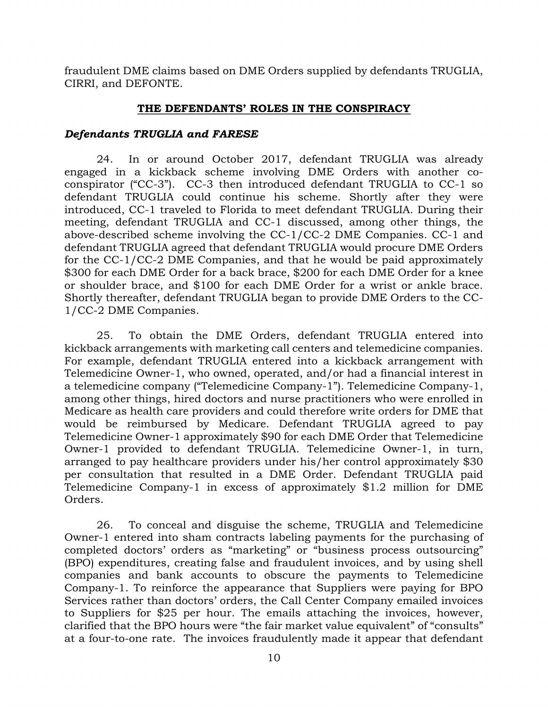fraudulent DME claims based on DME Orders supplied by defendants TRUGLIA, CIRRI, and DEFONTE.

#### **THE DEFENDANTS' ROLES IN THE CONSPIRACY**

#### *Defendants TRUGLIA and FARESE*

24. In or around October 2017, defendant TRUGLIA was already engaged in a kickback scheme involving DME Orders with another coconspirator ("CC-3"). CC-3 then introduced defendant TRUGLIA to CC-1 so defendant TRUGLIA could continue his scheme. Shortly after they were introduced, CC-1 traveled to Florida to meet defendant TRUGLIA. During their meeting, defendant TRUGLIA and CC-1 discussed, among other things, the above-described scheme involving the CC-1/CC-2 DME Companies. CC-1 and defendant TRUGLIA agreed that defendant TRUGLIA would procure DME Orders for the CC-1/CC-2 DME Companies, and that he would be paid approximately \$300 for each DME Order for a back brace, \$200 for each DME Order for a knee or shoulder brace, and \$100 for each DME Order for a wrist or ankle brace. Shortly thereafter, defendant TRUGLIA began to provide DME Orders to the CC-1/CC-2 DME Companies.

25. To obtain the DME Orders, defendant TRUGLIA entered into kickback arrangements with marketing call centers and telemedicine companies. For example, defendant TRUGLIA entered into a kickback arrangement with Telemedicine Owner-1, who owned, operated, and/or had a financial interest in a telemedicine company ("Telemedicine Company-1"). Telemedicine Company-1, among other things, hired doctors and nurse practitioners who were enrolled in Medicare as health care providers and could therefore write orders for DME that would be reimbursed by Medicare. Defendant TRUGLIA agreed to pay Telemedicine Owner-1 approximately \$90 for each DME Order that Telemedicine Owner-1 provided to defendant TRUGLIA. Telemedicine Owner-1, in turn, arranged to pay healthcare providers under his/her control approximately \$30 per consultation that resulted in a DME Order. Defendant TRUGLIA paid Telemedicine Company-1 in excess of approximately \$1.2 million for DME Orders.

26. To conceal and disguise the scheme, TRUGLIA and Telemedicine Owner-1 entered into sham contracts labeling payments for the purchasing of completed doctors' orders as "marketing" or "business process outsourcing" (BPO) expenditures, creating false and fraudulent invoices, and by using shell companies and bank accounts to obscure the payments to Telemedicine Company-1. To reinforce the appearance that Suppliers were paying for BPO Services rather than doctors' orders, the Call Center Company emailed invoices to Suppliers for \$25 per hour. The emails attaching the invoices, however, clarified that the BPO hours were "the fair market value equivalent" of "consults" at a four-to-one rate. The invoices fraudulently made it appear that defendant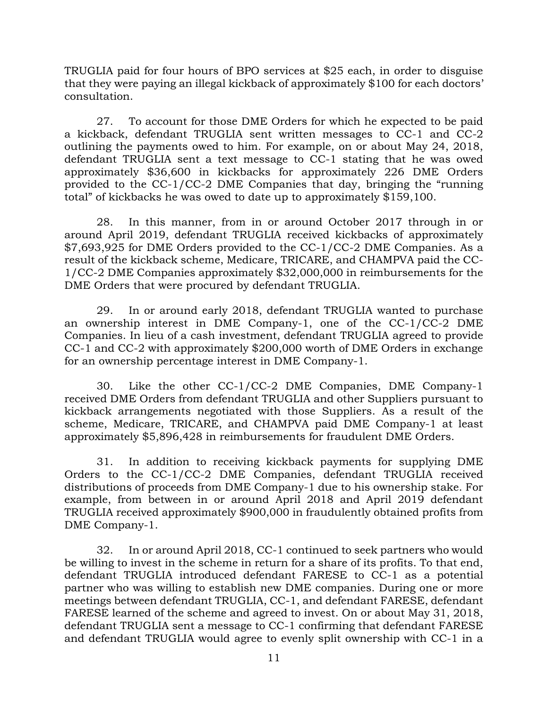TRUGLIA paid for four hours of BPO services at \$25 each, in order to disguise that they were paying an illegal kickback of approximately \$100 for each doctors' consultation.

27. To account for those DME Orders for which he expected to be paid a kickback, defendant TRUGLIA sent written messages to CC-1 and CC-2 outlining the payments owed to him. For example, on or about May 24, 2018, defendant TRUGLIA sent a text message to CC-1 stating that he was owed approximately \$36,600 in kickbacks for approximately 226 DME Orders provided to the CC-1/CC-2 DME Companies that day, bringing the "running total" of kickbacks he was owed to date up to approximately \$159,100.

28. In this manner, from in or around October 2017 through in or around April 2019, defendant TRUGLIA received kickbacks of approximately \$7,693,925 for DME Orders provided to the CC-1/CC-2 DME Companies. As a result of the kickback scheme, Medicare, TRICARE, and CHAMPVA paid the CC-1/CC-2 DME Companies approximately \$32,000,000 in reimbursements for the DME Orders that were procured by defendant TRUGLIA.

29. In or around early 2018, defendant TRUGLIA wanted to purchase an ownership interest in DME Company-1, one of the CC-1/CC-2 DME Companies. In lieu of a cash investment, defendant TRUGLIA agreed to provide CC-1 and CC-2 with approximately \$200,000 worth of DME Orders in exchange for an ownership percentage interest in DME Company-1.

30. Like the other CC-1/CC-2 DME Companies, DME Company-1 received DME Orders from defendant TRUGLIA and other Suppliers pursuant to kickback arrangements negotiated with those Suppliers. As a result of the scheme, Medicare, TRICARE, and CHAMPVA paid DME Company-1 at least approximately \$5,896,428 in reimbursements for fraudulent DME Orders.

31. In addition to receiving kickback payments for supplying DME Orders to the CC-1/CC-2 DME Companies, defendant TRUGLIA received distributions of proceeds from DME Company-1 due to his ownership stake. For example, from between in or around April 2018 and April 2019 defendant TRUGLIA received approximately \$900,000 in fraudulently obtained profits from DME Company-1.

32. In or around April 2018, CC-1 continued to seek partners who would be willing to invest in the scheme in return for a share of its profits. To that end, defendant TRUGLIA introduced defendant FARESE to CC-1 as a potential partner who was willing to establish new DME companies. During one or more meetings between defendant TRUGLIA, CC-1, and defendant FARESE, defendant FARESE learned of the scheme and agreed to invest. On or about May 31, 2018, defendant TRUGLIA sent a message to CC-1 confirming that defendant FARESE and defendant TRUGLIA would agree to evenly split ownership with CC-1 in a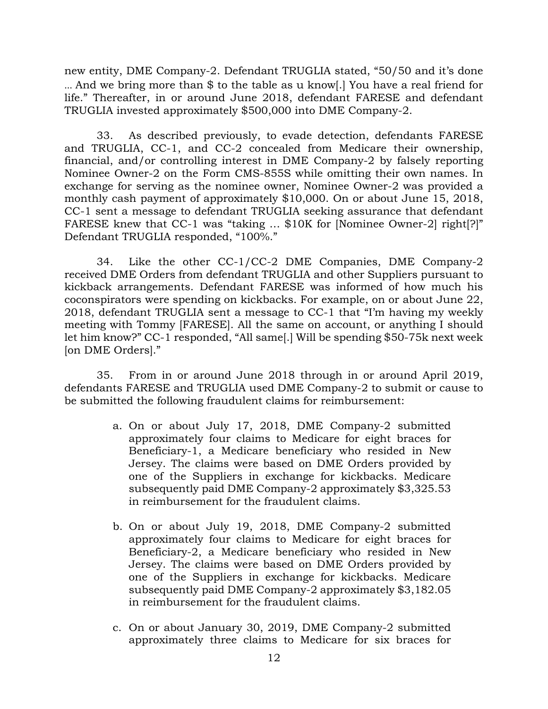new entity, DME Company-2. Defendant TRUGLIA stated, "50/50 and it's done … And we bring more than \$ to the table as u know[.] You have a real friend for life." Thereafter, in or around June 2018, defendant FARESE and defendant TRUGLIA invested approximately \$500,000 into DME Company-2.

33. As described previously, to evade detection, defendants FARESE and TRUGLIA, CC-1, and CC-2 concealed from Medicare their ownership, financial, and/or controlling interest in DME Company-2 by falsely reporting Nominee Owner-2 on the Form CMS-855S while omitting their own names. In exchange for serving as the nominee owner, Nominee Owner-2 was provided a monthly cash payment of approximately \$10,000. On or about June 15, 2018, CC-1 sent a message to defendant TRUGLIA seeking assurance that defendant FARESE knew that CC-1 was "taking … \$10K for [Nominee Owner-2] right[?]" Defendant TRUGLIA responded, "100%."

34. Like the other CC-1/CC-2 DME Companies, DME Company-2 received DME Orders from defendant TRUGLIA and other Suppliers pursuant to kickback arrangements. Defendant FARESE was informed of how much his coconspirators were spending on kickbacks. For example, on or about June 22, 2018, defendant TRUGLIA sent a message to CC-1 that "I'm having my weekly meeting with Tommy [FARESE]. All the same on account, or anything I should let him know?" CC-1 responded, "All same[.] Will be spending \$50-75k next week [on DME Orders]."

35. From in or around June 2018 through in or around April 2019, defendants FARESE and TRUGLIA used DME Company-2 to submit or cause to be submitted the following fraudulent claims for reimbursement:

- a. On or about July 17, 2018, DME Company-2 submitted approximately four claims to Medicare for eight braces for Beneficiary-1, a Medicare beneficiary who resided in New Jersey. The claims were based on DME Orders provided by one of the Suppliers in exchange for kickbacks. Medicare subsequently paid DME Company-2 approximately \$3,325.53 in reimbursement for the fraudulent claims.
- b. On or about July 19, 2018, DME Company-2 submitted approximately four claims to Medicare for eight braces for Beneficiary-2, a Medicare beneficiary who resided in New Jersey. The claims were based on DME Orders provided by one of the Suppliers in exchange for kickbacks. Medicare subsequently paid DME Company-2 approximately \$3,182.05 in reimbursement for the fraudulent claims.
- c. On or about January 30, 2019, DME Company-2 submitted approximately three claims to Medicare for six braces for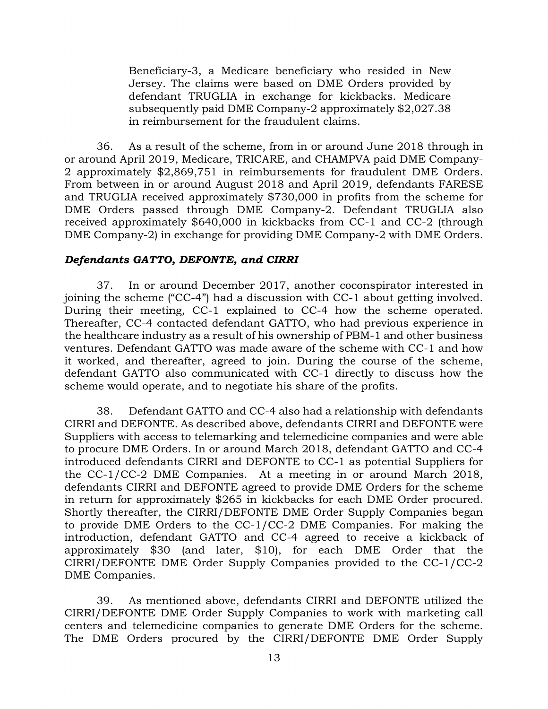Beneficiary-3, a Medicare beneficiary who resided in New Jersey. The claims were based on DME Orders provided by defendant TRUGLIA in exchange for kickbacks. Medicare subsequently paid DME Company-2 approximately \$2,027.38 in reimbursement for the fraudulent claims.

36. As a result of the scheme, from in or around June 2018 through in or around April 2019, Medicare, TRICARE, and CHAMPVA paid DME Company-2 approximately \$2,869,751 in reimbursements for fraudulent DME Orders. From between in or around August 2018 and April 2019, defendants FARESE and TRUGLIA received approximately \$730,000 in profits from the scheme for DME Orders passed through DME Company-2. Defendant TRUGLIA also received approximately \$640,000 in kickbacks from CC-1 and CC-2 (through DME Company-2) in exchange for providing DME Company-2 with DME Orders.

### *Defendants GATTO, DEFONTE, and CIRRI*

37. In or around December 2017, another coconspirator interested in joining the scheme ("CC-4") had a discussion with CC-1 about getting involved. During their meeting, CC-1 explained to CC-4 how the scheme operated. Thereafter, CC-4 contacted defendant GATTO, who had previous experience in the healthcare industry as a result of his ownership of PBM-1 and other business ventures. Defendant GATTO was made aware of the scheme with CC-1 and how it worked, and thereafter, agreed to join. During the course of the scheme, defendant GATTO also communicated with CC-1 directly to discuss how the scheme would operate, and to negotiate his share of the profits.

38. Defendant GATTO and CC-4 also had a relationship with defendants CIRRI and DEFONTE. As described above, defendants CIRRI and DEFONTE were Suppliers with access to telemarking and telemedicine companies and were able to procure DME Orders. In or around March 2018, defendant GATTO and CC-4 introduced defendants CIRRI and DEFONTE to CC-1 as potential Suppliers for the CC-1/CC-2 DME Companies. At a meeting in or around March 2018, defendants CIRRI and DEFONTE agreed to provide DME Orders for the scheme in return for approximately \$265 in kickbacks for each DME Order procured. Shortly thereafter, the CIRRI/DEFONTE DME Order Supply Companies began to provide DME Orders to the CC-1/CC-2 DME Companies. For making the introduction, defendant GATTO and CC-4 agreed to receive a kickback of approximately \$30 (and later, \$10), for each DME Order that the CIRRI/DEFONTE DME Order Supply Companies provided to the CC-1/CC-2 DME Companies.

39. As mentioned above, defendants CIRRI and DEFONTE utilized the CIRRI/DEFONTE DME Order Supply Companies to work with marketing call centers and telemedicine companies to generate DME Orders for the scheme. The DME Orders procured by the CIRRI/DEFONTE DME Order Supply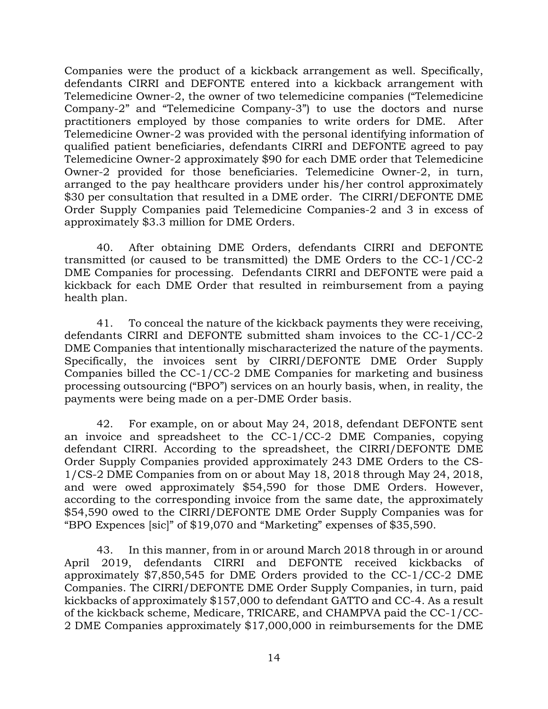Companies were the product of a kickback arrangement as well. Specifically, defendants CIRRI and DEFONTE entered into a kickback arrangement with Telemedicine Owner-2, the owner of two telemedicine companies ("Telemedicine Company-2" and "Telemedicine Company-3") to use the doctors and nurse practitioners employed by those companies to write orders for DME. After Telemedicine Owner-2 was provided with the personal identifying information of qualified patient beneficiaries, defendants CIRRI and DEFONTE agreed to pay Telemedicine Owner-2 approximately \$90 for each DME order that Telemedicine Owner-2 provided for those beneficiaries. Telemedicine Owner-2, in turn, arranged to the pay healthcare providers under his/her control approximately \$30 per consultation that resulted in a DME order. The CIRRI/DEFONTE DME Order Supply Companies paid Telemedicine Companies-2 and 3 in excess of approximately \$3.3 million for DME Orders.

40. After obtaining DME Orders, defendants CIRRI and DEFONTE transmitted (or caused to be transmitted) the DME Orders to the CC-1/CC-2 DME Companies for processing. Defendants CIRRI and DEFONTE were paid a kickback for each DME Order that resulted in reimbursement from a paying health plan.

41. To conceal the nature of the kickback payments they were receiving, defendants CIRRI and DEFONTE submitted sham invoices to the CC-1/CC-2 DME Companies that intentionally mischaracterized the nature of the payments. Specifically, the invoices sent by CIRRI/DEFONTE DME Order Supply Companies billed the CC-1/CC-2 DME Companies for marketing and business processing outsourcing ("BPO") services on an hourly basis, when, in reality, the payments were being made on a per-DME Order basis.

42. For example, on or about May 24, 2018, defendant DEFONTE sent an invoice and spreadsheet to the CC-1/CC-2 DME Companies, copying defendant CIRRI. According to the spreadsheet, the CIRRI/DEFONTE DME Order Supply Companies provided approximately 243 DME Orders to the CS-1/CS-2 DME Companies from on or about May 18, 2018 through May 24, 2018, and were owed approximately \$54,590 for those DME Orders. However, according to the corresponding invoice from the same date, the approximately \$54,590 owed to the CIRRI/DEFONTE DME Order Supply Companies was for "BPO Expences [sic]" of \$19,070 and "Marketing" expenses of \$35,590.

43. In this manner, from in or around March 2018 through in or around April 2019, defendants CIRRI and DEFONTE received kickbacks of approximately \$7,850,545 for DME Orders provided to the CC-1/CC-2 DME Companies. The CIRRI/DEFONTE DME Order Supply Companies, in turn, paid kickbacks of approximately \$157,000 to defendant GATTO and CC-4. As a result of the kickback scheme, Medicare, TRICARE, and CHAMPVA paid the CC-1/CC-2 DME Companies approximately \$17,000,000 in reimbursements for the DME